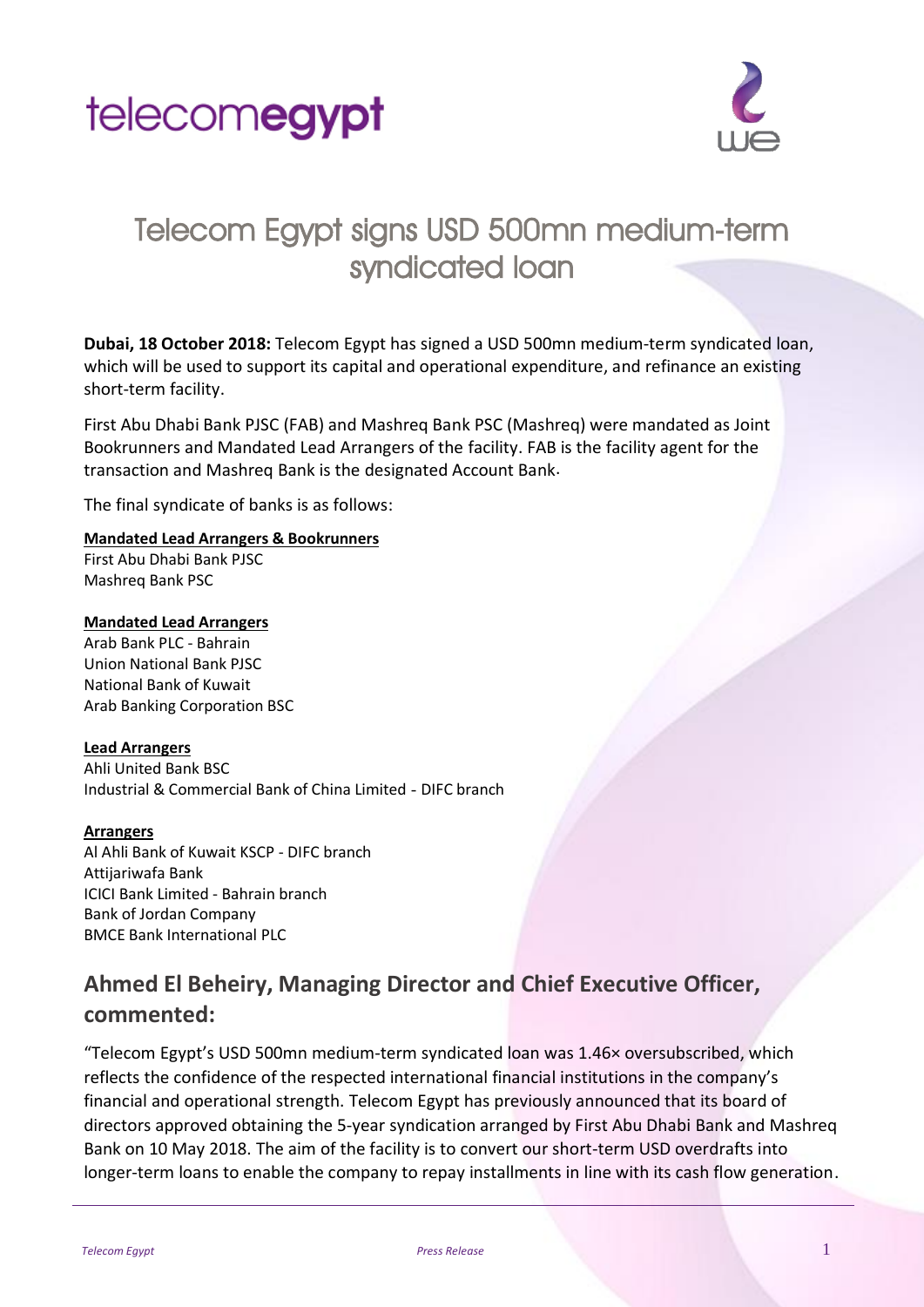



# Telecom Egypt signs USD 500mn medium-term syndicated loan

**Dubai, 18 October 2018:** Telecom Egypt has signed a USD 500mn medium-term syndicated loan, which will be used to support its capital and operational expenditure, and refinance an existing short-term facility.

First Abu Dhabi Bank PJSC (FAB) and Mashreq Bank PSC (Mashreq) were mandated as Joint Bookrunners and Mandated Lead Arrangers of the facility. FAB is the facility agent for the transaction and Mashreq Bank is the designated Account Bank.

The final syndicate of banks is as follows:

#### **Mandated Lead Arrangers & Bookrunners**

First Abu Dhabi Bank PJSC Mashreq Bank PSC

#### **Mandated Lead Arrangers**

Arab Bank PLC - Bahrain Union National Bank PJSC National Bank of Kuwait Arab Banking Corporation BSC

#### **Lead Arrangers**

Ahli United Bank BSC Industrial & Commercial Bank of China Limited - DIFC branch

#### **Arrangers**

Al Ahli Bank of Kuwait KSCP - DIFC branch Attijariwafa Bank ICICI Bank Limited - Bahrain branch Bank of Jordan Company BMCE Bank International PLC

## **Ahmed El Beheiry, Managing Director and Chief Executive Officer, commented:**

"Telecom Egypt's USD 500mn medium-term syndicated loan was 1.46× oversubscribed, which reflects the confidence of the respected international financial institutions in the company's financial and operational strength. Telecom Egypt has previously announced that its board of directors approved obtaining the 5-year syndication arranged by First Abu Dhabi Bank and Mashreq Bank on 10 May 2018. The aim of the facility is to convert our short-term USD overdrafts into longer-term loans to enable the company to repay installments in line with its cash flow generation.